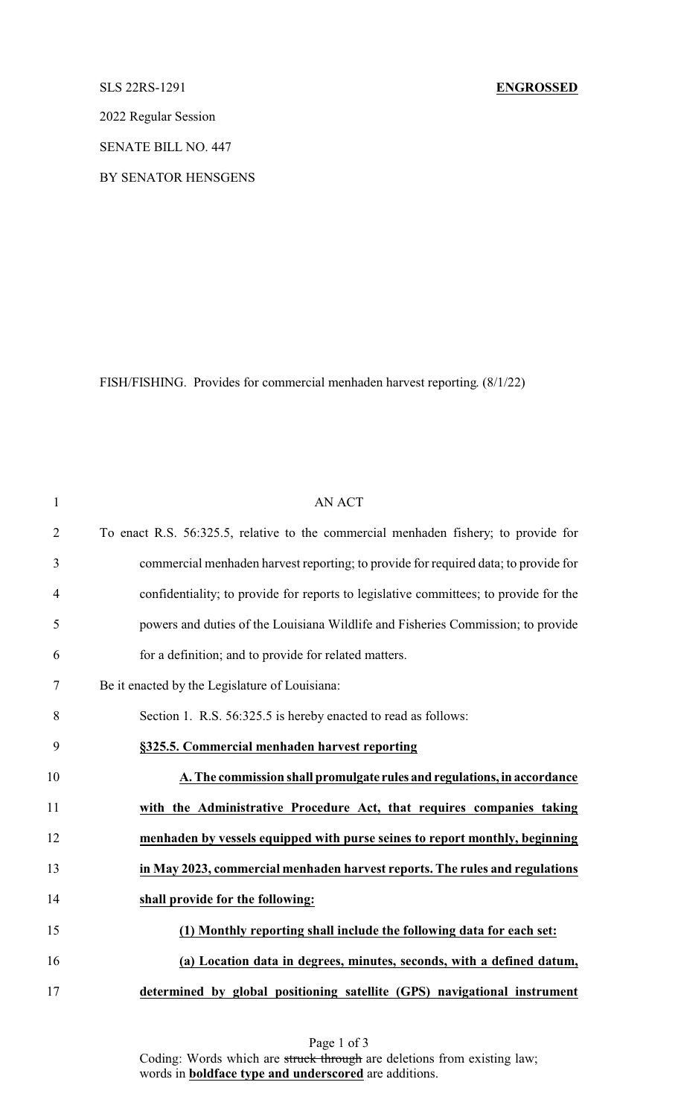## SLS 22RS-1291 **ENGROSSED**

2022 Regular Session

SENATE BILL NO. 447

BY SENATOR HENSGENS

FISH/FISHING. Provides for commercial menhaden harvest reporting. (8/1/22)

| $\mathbf{1}$   | <b>AN ACT</b>                                                                         |
|----------------|---------------------------------------------------------------------------------------|
| $\overline{2}$ | To enact R.S. 56:325.5, relative to the commercial menhaden fishery; to provide for   |
| 3              | commercial menhaden harvest reporting; to provide for required data; to provide for   |
| $\overline{4}$ | confidentiality; to provide for reports to legislative committees; to provide for the |
| 5              | powers and duties of the Louisiana Wildlife and Fisheries Commission; to provide      |
| 6              | for a definition; and to provide for related matters.                                 |
| $\tau$         | Be it enacted by the Legislature of Louisiana:                                        |
| 8              | Section 1. R.S. 56:325.5 is hereby enacted to read as follows:                        |
| 9              | §325.5. Commercial menhaden harvest reporting                                         |
| 10             | A. The commission shall promulgate rules and regulations, in accordance               |
| 11             | with the Administrative Procedure Act, that requires companies taking                 |
| 12             | menhaden by vessels equipped with purse seines to report monthly, beginning           |
| 13             | in May 2023, commercial menhaden harvest reports. The rules and regulations           |
| 14             | shall provide for the following:                                                      |
| 15             | (1) Monthly reporting shall include the following data for each set:                  |
| 16             | (a) Location data in degrees, minutes, seconds, with a defined datum,                 |
| 17             | determined by global positioning satellite (GPS) navigational instrument              |

Page 1 of 3 Coding: Words which are struck through are deletions from existing law; words in **boldface type and underscored** are additions.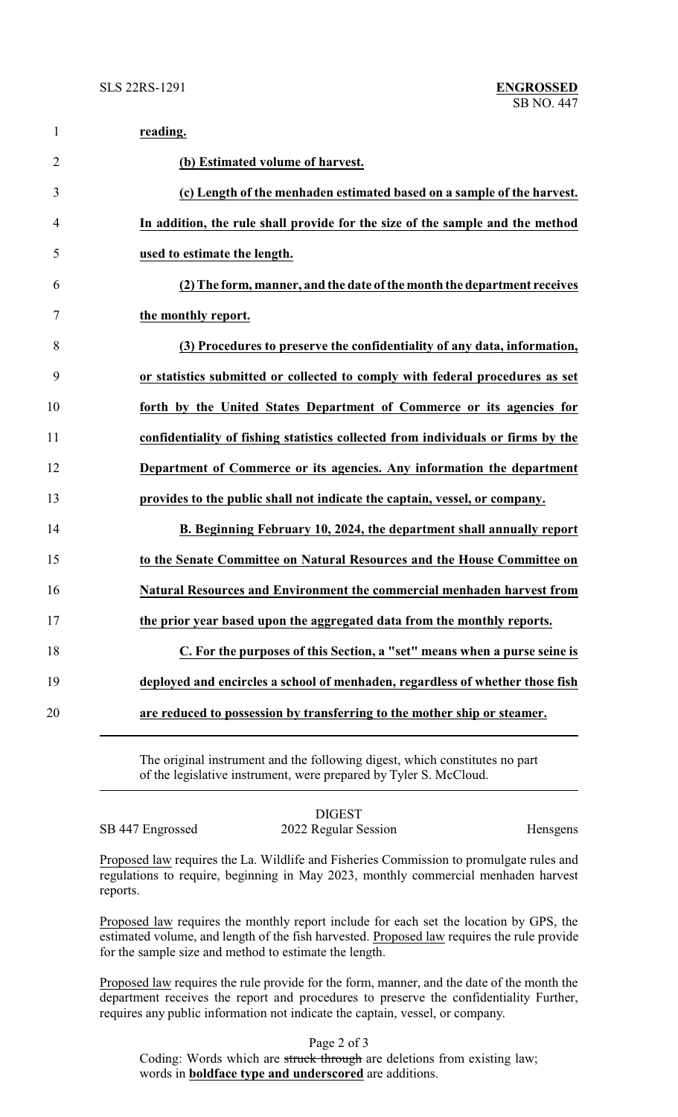| $\mathbf{1}$   | reading.                                                                         |
|----------------|----------------------------------------------------------------------------------|
| $\overline{2}$ | (b) Estimated volume of harvest.                                                 |
| 3              | (c) Length of the menhaden estimated based on a sample of the harvest.           |
| 4              | In addition, the rule shall provide for the size of the sample and the method    |
| 5              | used to estimate the length.                                                     |
| 6              | (2) The form, manner, and the date of the month the department receives          |
| 7              | the monthly report.                                                              |
| 8              | (3) Procedures to preserve the confidentiality of any data, information,         |
| 9              | or statistics submitted or collected to comply with federal procedures as set    |
| 10             | forth by the United States Department of Commerce or its agencies for            |
| 11             | confidentiality of fishing statistics collected from individuals or firms by the |
| 12             | Department of Commerce or its agencies. Any information the department           |
| 13             | provides to the public shall not indicate the captain, vessel, or company.       |
| 14             | B. Beginning February 10, 2024, the department shall annually report             |
| 15             | to the Senate Committee on Natural Resources and the House Committee on          |
| 16             | Natural Resources and Environment the commercial menhaden harvest from           |
| 17             | the prior year based upon the aggregated data from the monthly reports.          |
| 18             | C. For the purposes of this Section, a "set" means when a purse seine is         |
| 19             | deployed and encircles a school of menhaden, regardless of whether those fish    |
| 20             | are reduced to possession by transferring to the mother ship or steamer.         |
|                |                                                                                  |

The original instrument and the following digest, which constitutes no part of the legislative instrument, were prepared by Tyler S. McCloud.

DIGEST SB 447 Engrossed 2022 Regular Session Hensgens

Proposed law requires the La. Wildlife and Fisheries Commission to promulgate rules and regulations to require, beginning in May 2023, monthly commercial menhaden harvest reports.

Proposed law requires the monthly report include for each set the location by GPS, the estimated volume, and length of the fish harvested. Proposed law requires the rule provide for the sample size and method to estimate the length.

Proposed law requires the rule provide for the form, manner, and the date of the month the department receives the report and procedures to preserve the confidentiality Further, requires any public information not indicate the captain, vessel, or company.

Page 2 of 3

Coding: Words which are struck through are deletions from existing law; words in **boldface type and underscored** are additions.